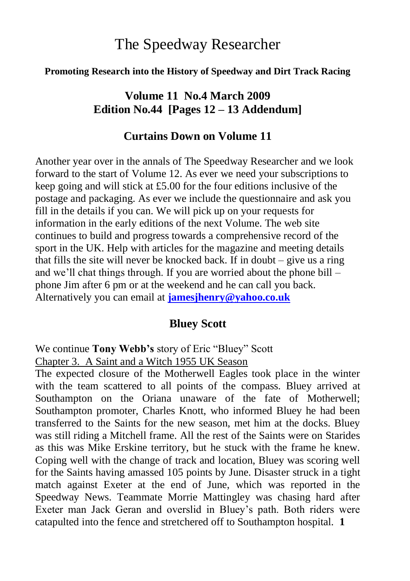# The Speedway Researcher

#### **Promoting Research into the History of Speedway and Dirt Track Racing**

### **Volume 11 No.4 March 2009 Edition No.44 [Pages 12 – 13 Addendum]**

#### **Curtains Down on Volume 11**

Another year over in the annals of The Speedway Researcher and we look forward to the start of Volume 12. As ever we need your subscriptions to keep going and will stick at £5.00 for the four editions inclusive of the postage and packaging. As ever we include the questionnaire and ask you fill in the details if you can. We will pick up on your requests for information in the early editions of the next Volume. The web site continues to build and progress towards a comprehensive record of the sport in the UK. Help with articles for the magazine and meeting details that fills the site will never be knocked back. If in doubt – give us a ring and we"ll chat things through. If you are worried about the phone bill – phone Jim after 6 pm or at the weekend and he can call you back. Alternatively you can email at **[jamesjhenry@yahoo.co.uk](mailto:jamesjhenry@yahoo.co.uk)**

#### **Bluey Scott**

We continue **Tony Webb's** story of Eric "Bluey" Scott

Chapter 3. A Saint and a Witch 1955 UK Season

The expected closure of the Motherwell Eagles took place in the winter with the team scattered to all points of the compass. Bluey arrived at Southampton on the Oriana unaware of the fate of Motherwell; Southampton promoter, Charles Knott, who informed Bluey he had been transferred to the Saints for the new season, met him at the docks. Bluey was still riding a Mitchell frame. All the rest of the Saints were on Starides as this was Mike Erskine territory, but he stuck with the frame he knew. Coping well with the change of track and location, Bluey was scoring well for the Saints having amassed 105 points by June. Disaster struck in a tight match against Exeter at the end of June, which was reported in the Speedway News. Teammate Morrie Mattingley was chasing hard after Exeter man Jack Geran and overslid in Bluey"s path. Both riders were catapulted into the fence and stretchered off to Southampton hospital. **1**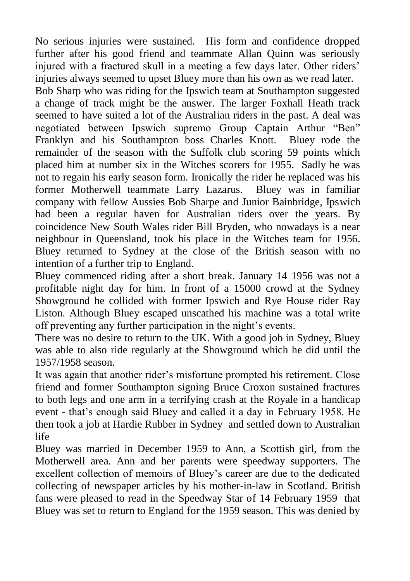No serious injuries were sustained. His form and confidence dropped further after his good friend and teammate Allan Quinn was seriously injured with a fractured skull in a meeting a few days later. Other riders' injuries always seemed to upset Bluey more than his own as we read later.

Bob Sharp who was riding for the Ipswich team at Southampton suggested a change of track might be the answer. The larger Foxhall Heath track seemed to have suited a lot of the Australian riders in the past. A deal was negotiated between Ipswich supremo Group Captain Arthur "Ben" Franklyn and his Southampton boss Charles Knott. Bluey rode the remainder of the season with the Suffolk club scoring 59 points which placed him at number six in the Witches scorers for 1955. Sadly he was not to regain his early season form. Ironically the rider he replaced was his former Motherwell teammate Larry Lazarus. Bluey was in familiar company with fellow Aussies Bob Sharpe and Junior Bainbridge, Ipswich had been a regular haven for Australian riders over the years. By coincidence New South Wales rider Bill Bryden, who nowadays is a near neighbour in Queensland, took his place in the Witches team for 1956. Bluey returned to Sydney at the close of the British season with no intention of a further trip to England.

Bluey commenced riding after a short break. January 14 1956 was not a profitable night day for him. In front of a 15000 crowd at the Sydney Showground he collided with former Ipswich and Rye House rider Ray Liston. Although Bluey escaped unscathed his machine was a total write off preventing any further participation in the night"s events.

There was no desire to return to the UK. With a good job in Sydney, Bluey was able to also ride regularly at the Showground which he did until the 1957/1958 season.

It was again that another rider"s misfortune prompted his retirement. Close friend and former Southampton signing Bruce Croxon sustained fractures to both legs and one arm in a terrifying crash at the Royale in a handicap event - that's enough said Bluey and called it a day in February 1958. He then took a job at Hardie Rubber in Sydney and settled down to Australian life

Bluey was married in December 1959 to Ann, a Scottish girl, from the Motherwell area. Ann and her parents were speedway supporters. The excellent collection of memoirs of Bluey"s career are due to the dedicated collecting of newspaper articles by his mother-in-law in Scotland. British fans were pleased to read in the Speedway Star of 14 February 1959 that Bluey was set to return to England for the 1959 season. This was denied by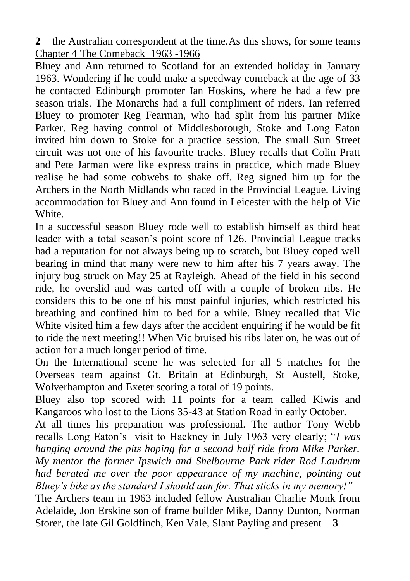**2** the Australian correspondent at the time.As this shows, for some teams Chapter 4 The Comeback 1963 -1966

Bluey and Ann returned to Scotland for an extended holiday in January 1963. Wondering if he could make a speedway comeback at the age of 33 he contacted Edinburgh promoter Ian Hoskins, where he had a few pre season trials. The Monarchs had a full compliment of riders. Ian referred Bluey to promoter Reg Fearman, who had split from his partner Mike Parker. Reg having control of Middlesborough, Stoke and Long Eaton invited him down to Stoke for a practice session. The small Sun Street circuit was not one of his favourite tracks. Bluey recalls that Colin Pratt and Pete Jarman were like express trains in practice, which made Bluey realise he had some cobwebs to shake off. Reg signed him up for the Archers in the North Midlands who raced in the Provincial League. Living accommodation for Bluey and Ann found in Leicester with the help of Vic White.

In a successful season Bluey rode well to establish himself as third heat leader with a total season"s point score of 126. Provincial League tracks had a reputation for not always being up to scratch, but Bluey coped well bearing in mind that many were new to him after his 7 years away. The injury bug struck on May 25 at Rayleigh. Ahead of the field in his second ride, he overslid and was carted off with a couple of broken ribs. He considers this to be one of his most painful injuries, which restricted his breathing and confined him to bed for a while. Bluey recalled that Vic White visited him a few days after the accident enquiring if he would be fit to ride the next meeting!! When Vic bruised his ribs later on, he was out of action for a much longer period of time.

On the International scene he was selected for all 5 matches for the Overseas team against Gt. Britain at Edinburgh, St Austell, Stoke, Wolverhampton and Exeter scoring a total of 19 points.

Bluey also top scored with 11 points for a team called Kiwis and Kangaroos who lost to the Lions 35-43 at Station Road in early October.

At all times his preparation was professional. The author Tony Webb recalls Long Eaton"s visit to Hackney in July 1963 very clearly; "*I was hanging around the pits hoping for a second half ride from Mike Parker. My mentor the former Ipswich and Shelbourne Park rider Rod Laudrum had berated me over the poor appearance of my machine, pointing out Bluey's bike as the standard I should aim for. That sticks in my memory!"* 

The Archers team in 1963 included fellow Australian Charlie Monk from Adelaide, Jon Erskine son of frame builder Mike, Danny Dunton, Norman Storer, the late Gil Goldfinch, Ken Vale, Slant Payling and present **3**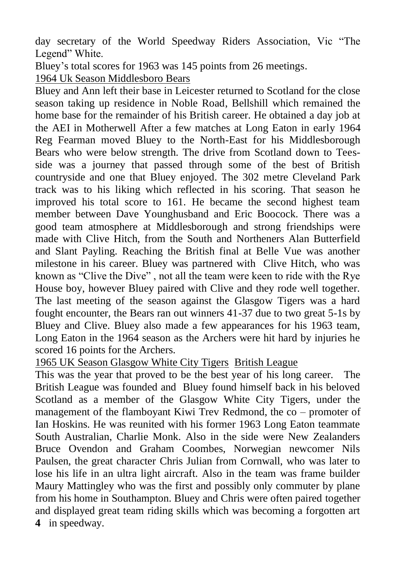day secretary of the World Speedway Riders Association, Vic "The Legend" White.

Bluey's total scores for 1963 was 145 points from 26 meetings. 1964 Uk Season Middlesboro Bears

Bluey and Ann left their base in Leicester returned to Scotland for the close season taking up residence in Noble Road, Bellshill which remained the home base for the remainder of his British career. He obtained a day job at the AEI in Motherwell After a few matches at Long Eaton in early 1964 Reg Fearman moved Bluey to the North-East for his Middlesborough Bears who were below strength. The drive from Scotland down to Teesside was a journey that passed through some of the best of British countryside and one that Bluey enjoyed. The 302 metre Cleveland Park track was to his liking which reflected in his scoring. That season he improved his total score to 161. He became the second highest team member between Dave Younghusband and Eric Boocock. There was a good team atmosphere at Middlesborough and strong friendships were made with Clive Hitch, from the South and Northeners Alan Butterfield and Slant Payling. Reaching the British final at Belle Vue was another milestone in his career. Bluey was partnered with Clive Hitch, who was known as "Clive the Dive" , not all the team were keen to ride with the Rye House boy, however Bluey paired with Clive and they rode well together. The last meeting of the season against the Glasgow Tigers was a hard fought encounter, the Bears ran out winners 41-37 due to two great 5-1s by Bluey and Clive. Bluey also made a few appearances for his 1963 team, Long Eaton in the 1964 season as the Archers were hit hard by injuries he scored 16 points for the Archers.

1965 UK Season Glasgow White City Tigers British League

This was the year that proved to be the best year of his long career. The British League was founded and Bluey found himself back in his beloved Scotland as a member of the Glasgow White City Tigers, under the management of the flamboyant Kiwi Trev Redmond, the co – promoter of Ian Hoskins. He was reunited with his former 1963 Long Eaton teammate South Australian, Charlie Monk. Also in the side were New Zealanders Bruce Ovendon and Graham Coombes, Norwegian newcomer Nils Paulsen, the great character Chris Julian from Cornwall, who was later to lose his life in an ultra light aircraft. Also in the team was frame builder Maury Mattingley who was the first and possibly only commuter by plane from his home in Southampton. Bluey and Chris were often paired together and displayed great team riding skills which was becoming a forgotten art **4** in speedway.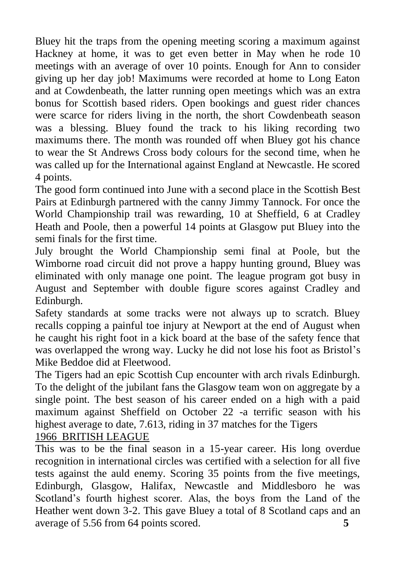Bluey hit the traps from the opening meeting scoring a maximum against Hackney at home, it was to get even better in May when he rode 10 meetings with an average of over 10 points. Enough for Ann to consider giving up her day job! Maximums were recorded at home to Long Eaton and at Cowdenbeath, the latter running open meetings which was an extra bonus for Scottish based riders. Open bookings and guest rider chances were scarce for riders living in the north, the short Cowdenbeath season was a blessing. Bluey found the track to his liking recording two maximums there. The month was rounded off when Bluey got his chance to wear the St Andrews Cross body colours for the second time, when he was called up for the International against England at Newcastle. He scored 4 points.

The good form continued into June with a second place in the Scottish Best Pairs at Edinburgh partnered with the canny Jimmy Tannock. For once the World Championship trail was rewarding, 10 at Sheffield, 6 at Cradley Heath and Poole, then a powerful 14 points at Glasgow put Bluey into the semi finals for the first time.

July brought the World Championship semi final at Poole, but the Wimborne road circuit did not prove a happy hunting ground, Bluey was eliminated with only manage one point. The league program got busy in August and September with double figure scores against Cradley and Edinburgh.

Safety standards at some tracks were not always up to scratch. Bluey recalls copping a painful toe injury at Newport at the end of August when he caught his right foot in a kick board at the base of the safety fence that was overlapped the wrong way. Lucky he did not lose his foot as Bristol"s Mike Beddoe did at Fleetwood.

The Tigers had an epic Scottish Cup encounter with arch rivals Edinburgh. To the delight of the jubilant fans the Glasgow team won on aggregate by a single point. The best season of his career ended on a high with a paid maximum against Sheffield on October 22 -a terrific season with his highest average to date, 7.613, riding in 37 matches for the Tigers

## 1966 BRITISH LEAGUE

This was to be the final season in a 15-year career. His long overdue recognition in international circles was certified with a selection for all five tests against the auld enemy. Scoring 35 points from the five meetings, Edinburgh, Glasgow, Halifax, Newcastle and Middlesboro he was Scotland's fourth highest scorer. Alas, the boys from the Land of the Heather went down 3-2. This gave Bluey a total of 8 Scotland caps and an average of 5.56 from 64 points scored. **5**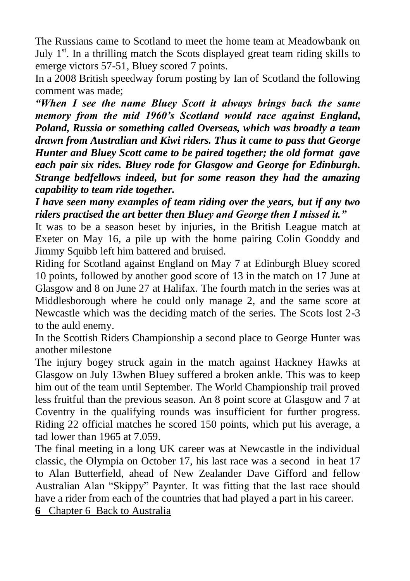The Russians came to Scotland to meet the home team at Meadowbank on July  $1<sup>st</sup>$ . In a thrilling match the Scots displayed great team riding skills to emerge victors 57-51, Bluey scored 7 points.

In a 2008 British speedway forum posting by Ian of Scotland the following comment was made;

*"When I see the name Bluey Scott it always brings back the same memory from the mid 1960's Scotland would race against England, Poland, Russia or something called Overseas, which was broadly a team drawn from Australian and Kiwi riders. Thus it came to pass that George Hunter and Bluey Scott came to be paired together; the old format gave each pair six rides. Bluey rode for Glasgow and George for Edinburgh. Strange bedfellows indeed, but for some reason they had the amazing capability to team ride together.*

*I have seen many examples of team riding over the years, but if any two riders practised the art better then Bluey and George then I missed it."*

It was to be a season beset by injuries, in the British League match at Exeter on May 16, a pile up with the home pairing Colin Gooddy and Jimmy Squibb left him battered and bruised.

Riding for Scotland against England on May 7 at Edinburgh Bluey scored 10 points, followed by another good score of 13 in the match on 17 June at Glasgow and 8 on June 27 at Halifax. The fourth match in the series was at Middlesborough where he could only manage 2, and the same score at Newcastle which was the deciding match of the series. The Scots lost 2-3 to the auld enemy.

In the Scottish Riders Championship a second place to George Hunter was another milestone

The injury bogey struck again in the match against Hackney Hawks at Glasgow on July 13when Bluey suffered a broken ankle. This was to keep him out of the team until September. The World Championship trail proved less fruitful than the previous season. An 8 point score at Glasgow and 7 at Coventry in the qualifying rounds was insufficient for further progress. Riding 22 official matches he scored 150 points, which put his average, a tad lower than 1965 at 7.059.

The final meeting in a long UK career was at Newcastle in the individual classic, the Olympia on October 17, his last race was a second in heat 17 to Alan Butterfield, ahead of New Zealander Dave Gifford and fellow Australian Alan "Skippy" Paynter. It was fitting that the last race should have a rider from each of the countries that had played a part in his career.

**6** Chapter 6 Back to Australia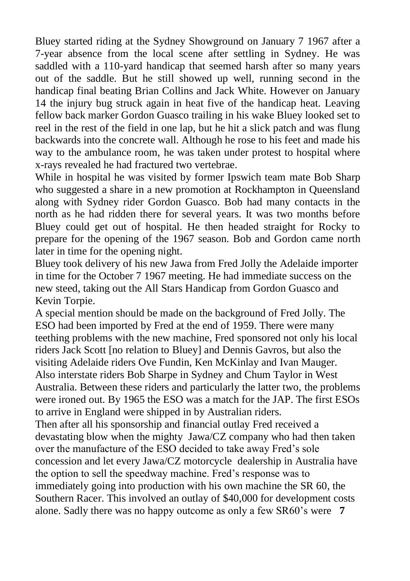Bluey started riding at the Sydney Showground on January 7 1967 after a 7-year absence from the local scene after settling in Sydney. He was saddled with a 110-yard handicap that seemed harsh after so many years out of the saddle. But he still showed up well, running second in the handicap final beating Brian Collins and Jack White. However on January 14 the injury bug struck again in heat five of the handicap heat. Leaving fellow back marker Gordon Guasco trailing in his wake Bluey looked set to reel in the rest of the field in one lap, but he hit a slick patch and was flung backwards into the concrete wall. Although he rose to his feet and made his way to the ambulance room, he was taken under protest to hospital where x-rays revealed he had fractured two vertebrae.

While in hospital he was visited by former Ipswich team mate Bob Sharp who suggested a share in a new promotion at Rockhampton in Queensland along with Sydney rider Gordon Guasco. Bob had many contacts in the north as he had ridden there for several years. It was two months before Bluey could get out of hospital. He then headed straight for Rocky to prepare for the opening of the 1967 season. Bob and Gordon came north later in time for the opening night.

Bluey took delivery of his new Jawa from Fred Jolly the Adelaide importer in time for the October 7 1967 meeting. He had immediate success on the new steed, taking out the All Stars Handicap from Gordon Guasco and Kevin Torpie.

A special mention should be made on the background of Fred Jolly. The ESO had been imported by Fred at the end of 1959. There were many teething problems with the new machine, Fred sponsored not only his local riders Jack Scott [no relation to Bluey] and Dennis Gavros, but also the visiting Adelaide riders Ove Fundin, Ken McKinlay and Ivan Mauger. Also interstate riders Bob Sharpe in Sydney and Chum Taylor in West Australia. Between these riders and particularly the latter two, the problems were ironed out. By 1965 the ESO was a match for the JAP. The first ESOs to arrive in England were shipped in by Australian riders.

Then after all his sponsorship and financial outlay Fred received a devastating blow when the mighty Jawa/CZ company who had then taken over the manufacture of the ESO decided to take away Fred"s sole concession and let every Jawa/CZ motorcycle dealership in Australia have the option to sell the speedway machine. Fred"s response was to immediately going into production with his own machine the SR 60, the Southern Racer. This involved an outlay of \$40,000 for development costs alone. Sadly there was no happy outcome as only a few SR60"s were **7**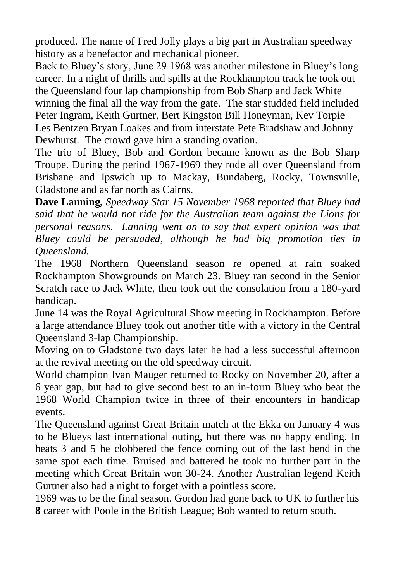produced. The name of Fred Jolly plays a big part in Australian speedway history as a benefactor and mechanical pioneer.

Back to Bluey"s story, June 29 1968 was another milestone in Bluey"s long career. In a night of thrills and spills at the Rockhampton track he took out the Queensland four lap championship from Bob Sharp and Jack White winning the final all the way from the gate. The star studded field included Peter Ingram, Keith Gurtner, Bert Kingston Bill Honeyman, Kev Torpie Les Bentzen Bryan Loakes and from interstate Pete Bradshaw and Johnny Dewhurst. The crowd gave him a standing ovation.

The trio of Bluey, Bob and Gordon became known as the Bob Sharp Troupe. During the period 1967-1969 they rode all over Queensland from Brisbane and Ipswich up to Mackay, Bundaberg, Rocky, Townsville, Gladstone and as far north as Cairns.

**Dave Lanning,** *Speedway Star 15 November 1968 reported that Bluey had said that he would not ride for the Australian team against the Lions for personal reasons. Lanning went on to say that expert opinion was that Bluey could be persuaded, although he had big promotion ties in Queensland.*

The 1968 Northern Queensland season re opened at rain soaked Rockhampton Showgrounds on March 23. Bluey ran second in the Senior Scratch race to Jack White, then took out the consolation from a 180-yard handicap.

June 14 was the Royal Agricultural Show meeting in Rockhampton. Before a large attendance Bluey took out another title with a victory in the Central Queensland 3-lap Championship.

Moving on to Gladstone two days later he had a less successful afternoon at the revival meeting on the old speedway circuit.

World champion Ivan Mauger returned to Rocky on November 20, after a 6 year gap, but had to give second best to an in-form Bluey who beat the 1968 World Champion twice in three of their encounters in handicap events.

The Queensland against Great Britain match at the Ekka on January 4 was to be Blueys last international outing, but there was no happy ending. In heats 3 and 5 he clobbered the fence coming out of the last bend in the same spot each time. Bruised and battered he took no further part in the meeting which Great Britain won 30-24. Another Australian legend Keith Gurtner also had a night to forget with a pointless score.

1969 was to be the final season. Gordon had gone back to UK to further his **8** career with Poole in the British League; Bob wanted to return south.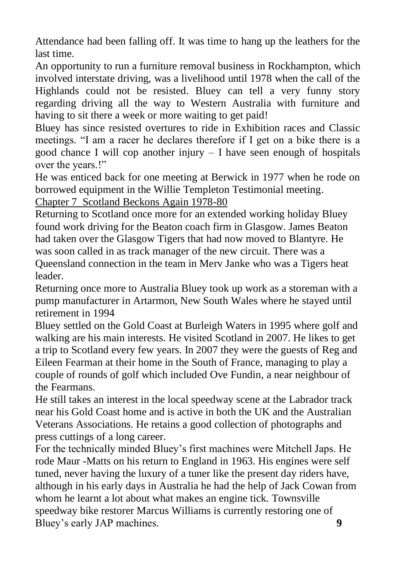Attendance had been falling off. It was time to hang up the leathers for the last time.

An opportunity to run a furniture removal business in Rockhampton, which involved interstate driving, was a livelihood until 1978 when the call of the Highlands could not be resisted. Bluey can tell a very funny story regarding driving all the way to Western Australia with furniture and having to sit there a week or more waiting to get paid!

Bluey has since resisted overtures to ride in Exhibition races and Classic meetings. "I am a racer he declares therefore if I get on a bike there is a good chance I will cop another injury – I have seen enough of hospitals over the years.!"

He was enticed back for one meeting at Berwick in 1977 when he rode on borrowed equipment in the Willie Templeton Testimonial meeting.

Chapter 7 Scotland Beckons Again 1978-80

Returning to Scotland once more for an extended working holiday Bluey found work driving for the Beaton coach firm in Glasgow. James Beaton had taken over the Glasgow Tigers that had now moved to Blantyre. He was soon called in as track manager of the new circuit. There was a

Queensland connection in the team in Merv Janke who was a Tigers heat leader.

Returning once more to Australia Bluey took up work as a storeman with a pump manufacturer in Artarmon, New South Wales where he stayed until retirement in 1994

Bluey settled on the Gold Coast at Burleigh Waters in 1995 where golf and walking are his main interests. He visited Scotland in 2007. He likes to get a trip to Scotland every few years. In 2007 they were the guests of Reg and Eileen Fearman at their home in the South of France, managing to play a couple of rounds of golf which included Ove Fundin, a near neighbour of the Fearmans.

He still takes an interest in the local speedway scene at the Labrador track near his Gold Coast home and is active in both the UK and the Australian Veterans Associations. He retains a good collection of photographs and press cuttings of a long career.

For the technically minded Bluey"s first machines were Mitchell Japs. He rode Maur -Matts on his return to England in 1963. His engines were self tuned, never having the luxury of a tuner like the present day riders have, although in his early days in Australia he had the help of Jack Cowan from whom he learnt a lot about what makes an engine tick. Townsville speedway bike restorer Marcus Williams is currently restoring one of Bluey"s early JAP machines. **9**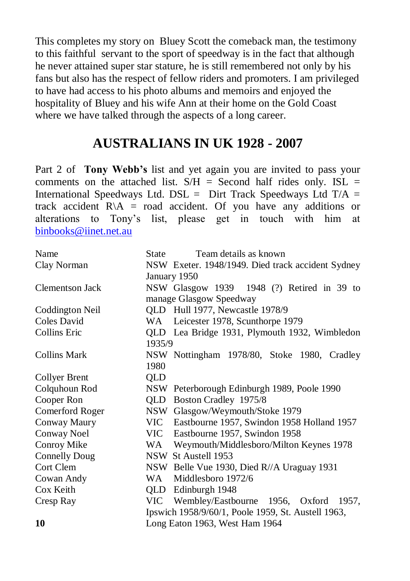This completes my story on Bluey Scott the comeback man, the testimony to this faithful servant to the sport of speedway is in the fact that although he never attained super star stature, he is still remembered not only by his fans but also has the respect of fellow riders and promoters. I am privileged to have had access to his photo albums and memoirs and enjoyed the hospitality of Bluey and his wife Ann at their home on the Gold Coast where we have talked through the aspects of a long career.

# **AUSTRALIANS IN UK 1928 - 2007**

Part 2 of **Tony Webb's** list and yet again you are invited to pass your comments on the attached list.  $S/H =$  Second half rides only. ISL = International Speedways Ltd. DSL = Dirt Track Speedways Ltd  $T/A$  = track accident  $R \setminus A$  = road accident. Of you have any additions or alterations to Tony"s list, please get in touch with him at [binbooks@iinet.net.au](mailto:binbooks@iinet.net.au) 

| Name                 | Team details as known<br>State                     |  |  |  |  |  |  |  |  |  |
|----------------------|----------------------------------------------------|--|--|--|--|--|--|--|--|--|
| Clay Norman          | NSW Exeter. 1948/1949. Died track accident Sydney  |  |  |  |  |  |  |  |  |  |
|                      | January 1950                                       |  |  |  |  |  |  |  |  |  |
| Clementson Jack      | NSW Glasgow 1939 1948 (?) Retired in 39 to         |  |  |  |  |  |  |  |  |  |
|                      | manage Glasgow Speedway                            |  |  |  |  |  |  |  |  |  |
| Coddington Neil      | QLD Hull 1977, Newcastle 1978/9                    |  |  |  |  |  |  |  |  |  |
| Coles David          | WA Leicester 1978, Scunthorpe 1979                 |  |  |  |  |  |  |  |  |  |
| <b>Collins Eric</b>  | QLD Lea Bridge 1931, Plymouth 1932, Wimbledon      |  |  |  |  |  |  |  |  |  |
|                      | 1935/9                                             |  |  |  |  |  |  |  |  |  |
| <b>Collins Mark</b>  | NSW Nottingham 1978/80, Stoke 1980, Cradley        |  |  |  |  |  |  |  |  |  |
|                      | 1980                                               |  |  |  |  |  |  |  |  |  |
| <b>Collyer Brent</b> | QLD                                                |  |  |  |  |  |  |  |  |  |
| Colquhoun Rod        | NSW Peterborough Edinburgh 1989, Poole 1990        |  |  |  |  |  |  |  |  |  |
| Cooper Ron           | QLD<br>Boston Cradley 1975/8                       |  |  |  |  |  |  |  |  |  |
| Comerford Roger      | NSW Glasgow/Weymouth/Stoke 1979                    |  |  |  |  |  |  |  |  |  |
| Conway Maury         | VIC Eastbourne 1957, Swindon 1958 Holland 1957     |  |  |  |  |  |  |  |  |  |
| Conway Noel          | VIC Eastbourne 1957, Swindon 1958                  |  |  |  |  |  |  |  |  |  |
| Conroy Mike          | WA Weymouth/Middlesboro/Milton Keynes 1978         |  |  |  |  |  |  |  |  |  |
| <b>Connelly Doug</b> | NSW St Austell 1953                                |  |  |  |  |  |  |  |  |  |
| Cort Clem            | NSW Belle Vue 1930, Died R//A Uraguay 1931         |  |  |  |  |  |  |  |  |  |
| Cowan Andy           | Middlesboro 1972/6<br>WA 1                         |  |  |  |  |  |  |  |  |  |
| Cox Keith            | QLD<br>Edinburgh 1948                              |  |  |  |  |  |  |  |  |  |
| Cresp Ray            | VIC Wembley/Eastbourne 1956, Oxford 1957,          |  |  |  |  |  |  |  |  |  |
|                      | Ipswich 1958/9/60/1, Poole 1959, St. Austell 1963, |  |  |  |  |  |  |  |  |  |
| 10                   | Long Eaton 1963, West Ham 1964                     |  |  |  |  |  |  |  |  |  |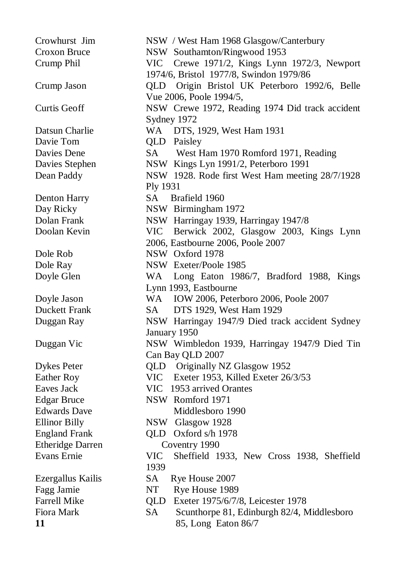Crowhurst Jim NSW / West Ham 1968 Glasgow/Canterbury Croxon Bruce NSW Southamton/Ringwood 1953 Crump Phil VIC Crewe 1971/2, Kings Lynn 1972/3, Newport 1974/6, Bristol 1977/8, Swindon 1979/86 Crump Jason QLD Origin Bristol UK Peterboro 1992/6, Belle Vue 2006, Poole 1994/5, Curtis Geoff NSW Crewe 1972, Reading 1974 Did track accident Sydney 1972 Datsun Charlie WA DTS, 1929, West Ham 1931 Davie Tom **QLD** Paisley Davies Dene SA West Ham 1970 Romford 1971, Reading Davies Stephen NSW Kings Lyn 1991/2, Peterboro 1991 Dean Paddy NSW 1928. Rode first West Ham meeting 28/7/1928 Ply 1931 Denton Harry SA Brafield 1960 Day Ricky NSW Birmingham 1972 Dolan Frank NSW Harringay 1939, Harringay 1947/8 Doolan Kevin VIC Berwick 2002, Glasgow 2003, Kings Lynn 2006, Eastbourne 2006, Poole 2007 Dole Rob NSW Oxford 1978 Dole Ray NSW Exeter/Poole 1985 Doyle Glen WA Long Eaton 1986/7, Bradford 1988, Kings Lynn 1993, Eastbourne Doyle Jason WA IOW 2006, Peterboro 2006, Poole 2007 Duckett Frank SA DTS 1929, West Ham 1929 Duggan Ray NSW Harringay 1947/9 Died track accident Sydney January 1950 Duggan Vic NSW Wimbledon 1939, Harringay 1947/9 Died Tin Can Bay QLD 2007 Dykes Peter QLD Originally NZ Glasgow 1952 Eather Roy VIC Exeter 1953, Killed Exeter 26/3/53 Eaves Jack VIC 1953 arrived Orantes Edgar Bruce NSW Romford 1971 Edwards Dave Middlesboro 1990 Ellinor Billy NSW Glasgow 1928 England Frank QLD Oxford s/h 1978 Etheridge Darren Coventry 1990 Evans Ernie VIC Sheffield 1933, New Cross 1938, Sheffield 1939 Ezergallus Kailis SA Rye House 2007 Fagg Jamie NT Rye House 1989 Farrell Mike QLD Exeter 1975/6/7/8, Leicester 1978 Fiora Mark SA Scunthorpe 81, Edinburgh 82/4, Middlesboro **11** 85, Long Eaton 86/7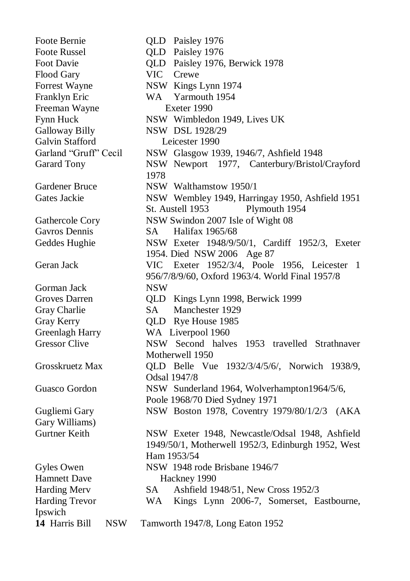Foote Bernie **QLD** Paisley 1976 Foote Russel **OLD** Paisley 1976 Foot Davie QLD Paisley 1976, Berwick 1978 Flood Gary **VIC** Crewe Forrest Wayne NSW Kings Lynn 1974 Franklyn Eric WA Yarmouth 1954 Freeman Wayne Exeter 1990 Fynn Huck NSW Wimbledon 1949. Lives UK Galloway Billy NSW DSL 1928/29 Galvin Stafford Leicester 1990 Garland "Gruff" Cecil NSW Glasgow 1939, 1946/7, Ashfield 1948 Garard Tony NSW Newport 1977, Canterbury/Bristol/Crayford 1978 Gardener Bruce NSW Walthamstow 1950/1 Gates Jackie NSW Wembley 1949, Harringay 1950, Ashfield 1951 St. Austell 1953 Plymouth 1954 Gathercole Cory NSW Swindon 2007 Isle of Wight 08 Gavros Dennis SA Halifax 1965/68 Geddes Hughie MSW Exeter 1948/9/50/1, Cardiff 1952/3, Exeter 1954. Died NSW 2006 Age 87 Geran Jack VIC Exeter 1952/3/4, Poole 1956, Leicester 1 956/7/8/9/60, Oxford 1963/4. World Final 1957/8 Gorman Jack NSW Groves Darren QLD Kings Lynn 1998, Berwick 1999 Gray Charlie SA Manchester 1929 Gray Kerry **QLD** Rye House 1985 Greenlagh Harry WA Liverpool 1960 Gressor Clive MSW Second halves 1953 travelled Strathnaver Motherwell 1950 Grosskruetz Max QLD Belle Vue 1932/3/4/5/6/, Norwich 1938/9, Odsal 1947/8 Guasco Gordon NSW Sunderland 1964, Wolverhampton1964/5/6, Poole 1968/70 Died Sydney 1971 Gugliemi Gary NSW Boston 1978, Coventry 1979/80/1/2/3 (AKA Gary Williams) Gurtner Keith NSW Exeter 1948, Newcastle/Odsal 1948, Ashfield 1949/50/1, Motherwell 1952/3, Edinburgh 1952, West Ham 1953/54 Gyles Owen NSW 1948 rode Brisbane 1946/7 Hamnett Dave Hackney 1990 Harding Merv SA Ashfield 1948/51, New Cross 1952/3 Harding Trevor WA Kings Lynn 2006-7, Somerset, Eastbourne, Ipswich **14** Harris Bill NSW Tamworth 1947/8, Long Eaton 1952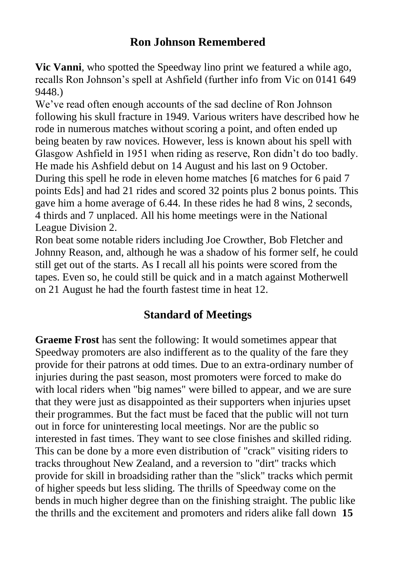## **Ron Johnson Remembered**

**Vic Vanni**, who spotted the Speedway lino print we featured a while ago, recalls Ron Johnson"s spell at Ashfield (further info from Vic on 0141 649 9448.)

We've read often enough accounts of the sad decline of Ron Johnson following his skull fracture in 1949. Various writers have described how he rode in numerous matches without scoring a point, and often ended up being beaten by raw novices. However, less is known about his spell with Glasgow Ashfield in 1951 when riding as reserve, Ron didn"t do too badly. He made his Ashfield debut on 14 August and his last on 9 October. During this spell he rode in eleven home matches [6 matches for 6 paid 7 points Eds] and had 21 rides and scored 32 points plus 2 bonus points. This gave him a home average of 6.44. In these rides he had 8 wins, 2 seconds, 4 thirds and 7 unplaced. All his home meetings were in the National League Division 2.

Ron beat some notable riders including Joe Crowther, Bob Fletcher and Johnny Reason, and, although he was a shadow of his former self, he could still get out of the starts. As I recall all his points were scored from the tapes. Even so, he could still be quick and in a match against Motherwell on 21 August he had the fourth fastest time in heat 12.

# **Standard of Meetings**

**Graeme Frost** has sent the following: It would sometimes appear that Speedway promoters are also indifferent as to the quality of the fare they provide for their patrons at odd times. Due to an extra-ordinary number of injuries during the past season, most promoters were forced to make do with local riders when "big names" were billed to appear, and we are sure that they were just as disappointed as their supporters when injuries upset their programmes. But the fact must be faced that the public will not turn out in force for uninteresting local meetings. Nor are the public so interested in fast times. They want to see close finishes and skilled riding. This can be done by a more even distribution of "crack" visiting riders to tracks throughout New Zealand, and a reversion to "dirt" tracks which provide for skill in broadsiding rather than the "slick" tracks which permit of higher speeds but less sliding. The thrills of Speedway come on the bends in much higher degree than on the finishing straight. The public like the thrills and the excitement and promoters and riders alike fall down **15**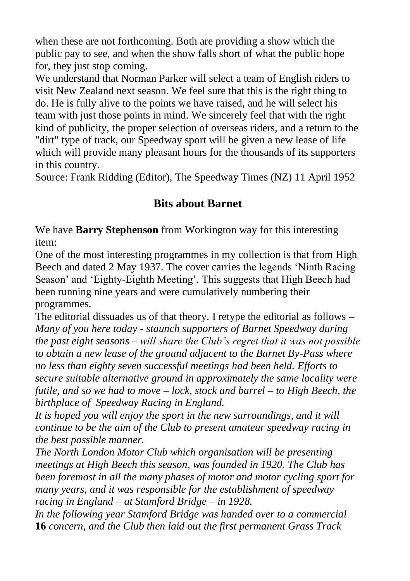when these are not forthcoming. Both are providing a show which the public pay to see, and when the show falls short of what the public hope for, they just stop coming.

We understand that Norman Parker will select a team of English riders to visit New Zealand next season. We feel sure that this is the right thing to do. He is fully alive to the points we have raised, and he will select his team with just those points in mind. We sincerely feel that with the right kind of publicity, the proper selection of overseas riders, and a return to the "dirt" type of track, our Speedway sport will be given a new lease of life which will provide many pleasant hours for the thousands of its supporters in this country.

Source: Frank Ridding (Editor), The Speedway Times (NZ) 11 April 1952

## **Bits about Barnet**

We have **Barry Stephenson** from Workington way for this interesting item:

One of the most interesting programmes in my collection is that from High Beech and dated 2 May 1937. The cover carries the legends "Ninth Racing Season' and 'Eighty-Eighth Meeting'. This suggests that High Beech had been running nine years and were cumulatively numbering their programmes.

The editorial dissuades us of that theory. I retype the editorial as follows – *Many of you here today - staunch supporters of Barnet Speedway during the past eight seasons – will share the Club's regret that it was not possible to obtain a new lease of the ground adjacent to the Barnet By-Pass where no less than eighty seven successful meetings had been held. Efforts to secure suitable alternative ground in approximately the same locality were futile, and so we had to move – lock, stock and barrel – to High Beech, the birthplace of Speedway Racing in England.* 

*It is hoped you will enjoy the sport in the new surroundings, and it will continue to be the aim of the Club to present amateur speedway racing in the best possible manner.*

*The North London Motor Club which organisation will be presenting meetings at High Beech this season, was founded in 1920. The Club has been foremost in all the many phases of motor and motor cycling sport for many years, and it was responsible for the establishment of speedway racing in England – at Stamford Bridge – in 1928.*

*In the following year Stamford Bridge was handed over to a commercial*  **16** *concern, and the Club then laid out the first permanent Grass Track*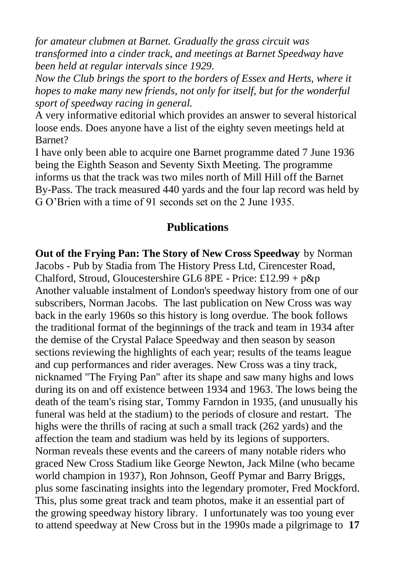*for amateur clubmen at Barnet. Gradually the grass circuit was transformed into a cinder track, and meetings at Barnet Speedway have been held at regular intervals since 1929.*

*Now the Club brings the sport to the borders of Essex and Herts, where it hopes to make many new friends, not only for itself, but for the wonderful sport of speedway racing in general.* 

A very informative editorial which provides an answer to several historical loose ends. Does anyone have a list of the eighty seven meetings held at Barnet?

I have only been able to acquire one Barnet programme dated 7 June 1936 being the Eighth Season and Seventy Sixth Meeting. The programme informs us that the track was two miles north of Mill Hill off the Barnet By-Pass. The track measured 440 yards and the four lap record was held by G O"Brien with a time of 91 seconds set on the 2 June 1935.

### **Publications**

**Out of the Frying Pan: The Story of New Cross Speedway** by Norman Jacobs - Pub by Stadia from The History Press Ltd, Cirencester Road, Chalford, Stroud, Gloucestershire GL6 8PE - Price: £12.99 + p&p Another valuable instalment of London's speedway history from one of our subscribers, Norman Jacobs. The last publication on New Cross was way back in the early 1960s so this history is long overdue. The book follows the traditional format of the beginnings of the track and team in 1934 after the demise of the Crystal Palace Speedway and then season by season sections reviewing the highlights of each year; results of the teams league and cup performances and rider averages. New Cross was a tiny track, nicknamed "The Frying Pan" after its shape and saw many highs and lows during its on and off existence between 1934 and 1963. The lows being the death of the team's rising star, Tommy Farndon in 1935, (and unusually his funeral was held at the stadium) to the periods of closure and restart. The highs were the thrills of racing at such a small track (262 yards) and the affection the team and stadium was held by its legions of supporters. Norman reveals these events and the careers of many notable riders who graced New Cross Stadium like George Newton, Jack Milne (who became world champion in 1937), Ron Johnson, Geoff Pymar and Barry Briggs, plus some fascinating insights into the legendary promoter, Fred Mockford. This, plus some great track and team photos, make it an essential part of the growing speedway history library. I unfortunately was too young ever to attend speedway at New Cross but in the 1990s made a pilgrimage to **17**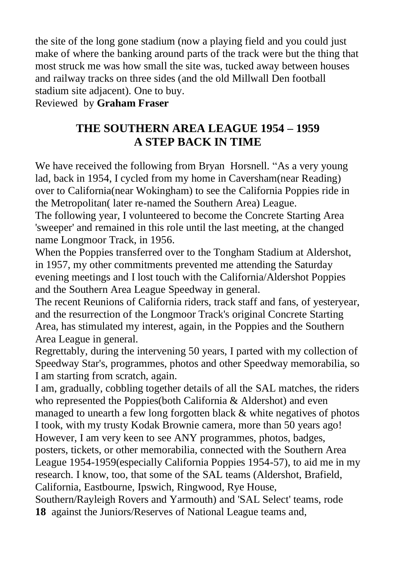the site of the long gone stadium (now a playing field and you could just make of where the banking around parts of the track were but the thing that most struck me was how small the site was, tucked away between houses and railway tracks on three sides (and the old Millwall Den football stadium site adjacent). One to buy.

Reviewed by **Graham Fraser**

# **THE SOUTHERN AREA LEAGUE 1954 – 1959 A STEP BACK IN TIME**

We have received the following from Bryan Horsnell. "As a very young lad, back in 1954, I cycled from my home in Caversham(near Reading) over to California(near Wokingham) to see the California Poppies ride in the Metropolitan( later re-named the Southern Area) League.

The following year, I volunteered to become the Concrete Starting Area 'sweeper' and remained in this role until the last meeting, at the changed name Longmoor Track, in 1956.

When the Poppies transferred over to the Tongham Stadium at Aldershot, in 1957, my other commitments prevented me attending the Saturday evening meetings and I lost touch with the California/Aldershot Poppies and the Southern Area League Speedway in general.

The recent Reunions of California riders, track staff and fans, of yesteryear, and the resurrection of the Longmoor Track's original Concrete Starting Area, has stimulated my interest, again, in the Poppies and the Southern Area League in general.

Regrettably, during the intervening 50 years, I parted with my collection of Speedway Star's, programmes, photos and other Speedway memorabilia, so I am starting from scratch, again.

I am, gradually, cobbling together details of all the SAL matches, the riders who represented the Poppies(both California & Aldershot) and even managed to unearth a few long forgotten black & white negatives of photos I took, with my trusty Kodak Brownie camera, more than 50 years ago! However, I am very keen to see ANY programmes, photos, badges, posters, tickets, or other memorabilia, connected with the Southern Area League 1954-1959(especially California Poppies 1954-57), to aid me in my research. I know, too, that some of the SAL teams (Aldershot, Brafield, California, Eastbourne, Ipswich, Ringwood, Rye House, Southern/Rayleigh Rovers and Yarmouth) and 'SAL Select' teams, rode

**18** against the Juniors/Reserves of National League teams and,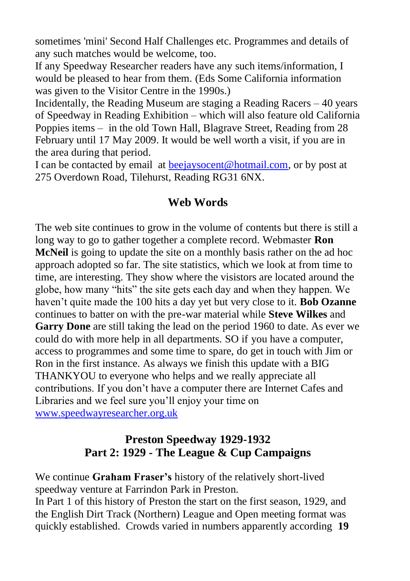sometimes 'mini' Second Half Challenges etc. Programmes and details of any such matches would be welcome, too.

If any Speedway Researcher readers have any such items/information, I would be pleased to hear from them. (Eds Some California information was given to the Visitor Centre in the 1990s.)

Incidentally, the Reading Museum are staging a Reading Racers – 40 years of Speedway in Reading Exhibition – which will also feature old California Poppies items – in the old Town Hall, Blagrave Street, Reading from 28 February until 17 May 2009. It would be well worth a visit, if you are in the area during that period.

I can be contacted by email at [beejaysocent@hotmail.com,](mailto:beejaysocent@hotmail.com) or by post at 275 Overdown Road, Tilehurst, Reading RG31 6NX.

#### **Web Words**

The web site continues to grow in the volume of contents but there is still a long way to go to gather together a complete record. Webmaster **Ron McNeil** is going to update the site on a monthly basis rather on the ad hoc approach adopted so far. The site statistics, which we look at from time to time, are interesting. They show where the visistors are located around the globe, how many "hits" the site gets each day and when they happen. We haven"t quite made the 100 hits a day yet but very close to it. **Bob Ozanne**  continues to batter on with the pre-war material while **Steve Wilkes** and **Garry Done** are still taking the lead on the period 1960 to date. As ever we could do with more help in all departments. SO if you have a computer, access to programmes and some time to spare, do get in touch with Jim or Ron in the first instance. As always we finish this update with a BIG THANKYOU to everyone who helps and we really appreciate all contributions. If you don"t have a computer there are Internet Cafes and Libraries and we feel sure you"ll enjoy your time on [www.speedwayresearcher.org.uk](http://www.speedwayresearcher.org.uk/)

### **Preston Speedway 1929-1932 Part 2: 1929 - The League & Cup Campaigns**

We continue **Graham Fraser's** history of the relatively short-lived speedway venture at Farrindon Park in Preston.

In Part 1 of this history of Preston the start on the first season, 1929, and the English Dirt Track (Northern) League and Open meeting format was quickly established. Crowds varied in numbers apparently according **19**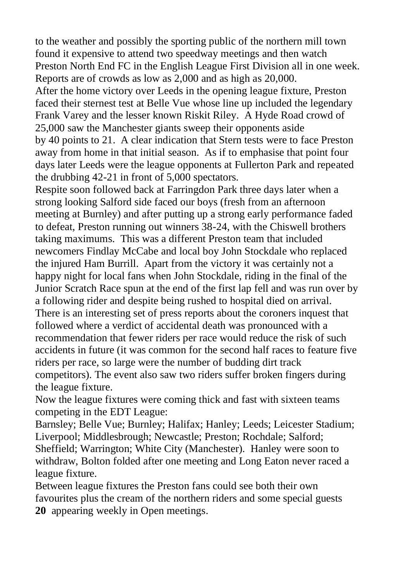to the weather and possibly the sporting public of the northern mill town found it expensive to attend two speedway meetings and then watch Preston North End FC in the English League First Division all in one week. Reports are of crowds as low as 2,000 and as high as 20,000.

After the home victory over Leeds in the opening league fixture, Preston faced their sternest test at Belle Vue whose line up included the legendary Frank Varey and the lesser known Riskit Riley. A Hyde Road crowd of 25,000 saw the Manchester giants sweep their opponents aside by 40 points to 21. A clear indication that Stern tests were to face Preston away from home in that initial season. As if to emphasise that point four days later Leeds were the league opponents at Fullerton Park and repeated the drubbing 42-21 in front of 5,000 spectators.

Respite soon followed back at Farringdon Park three days later when a strong looking Salford side faced our boys (fresh from an afternoon meeting at Burnley) and after putting up a strong early performance faded to defeat, Preston running out winners 38-24, with the Chiswell brothers taking maximums. This was a different Preston team that included newcomers Findlay McCabe and local boy John Stockdale who replaced the injured Ham Burrill. Apart from the victory it was certainly not a happy night for local fans when John Stockdale, riding in the final of the Junior Scratch Race spun at the end of the first lap fell and was run over by a following rider and despite being rushed to hospital died on arrival. There is an interesting set of press reports about the coroners inquest that followed where a verdict of accidental death was pronounced with a recommendation that fewer riders per race would reduce the risk of such accidents in future (it was common for the second half races to feature five riders per race, so large were the number of budding dirt track competitors). The event also saw two riders suffer broken fingers during the league fixture.

Now the league fixtures were coming thick and fast with sixteen teams competing in the EDT League:

Barnsley; Belle Vue; Burnley; Halifax; Hanley; Leeds; Leicester Stadium; Liverpool; Middlesbrough; Newcastle; Preston; Rochdale; Salford; Sheffield; Warrington; White City (Manchester). Hanley were soon to withdraw, Bolton folded after one meeting and Long Eaton never raced a league fixture.

Between league fixtures the Preston fans could see both their own favourites plus the cream of the northern riders and some special guests **20** appearing weekly in Open meetings.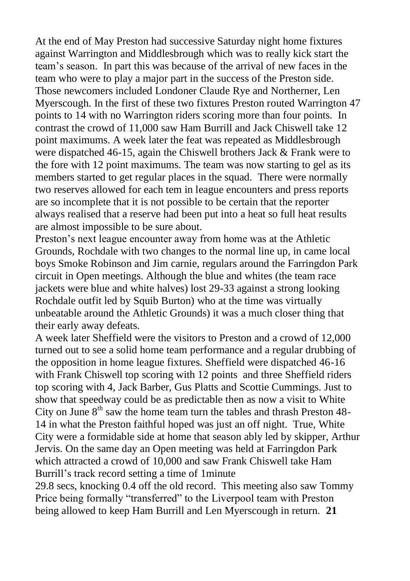At the end of May Preston had successive Saturday night home fixtures against Warrington and Middlesbrough which was to really kick start the team"s season. In part this was because of the arrival of new faces in the team who were to play a major part in the success of the Preston side. Those newcomers included Londoner Claude Rye and Northerner, Len Myerscough. In the first of these two fixtures Preston routed Warrington 47 points to 14 with no Warrington riders scoring more than four points. In contrast the crowd of 11,000 saw Ham Burrill and Jack Chiswell take 12 point maximums. A week later the feat was repeated as Middlesbrough were dispatched 46-15, again the Chiswell brothers Jack & Frank were to the fore with 12 point maximums. The team was now starting to gel as its members started to get regular places in the squad. There were normally two reserves allowed for each tem in league encounters and press reports are so incomplete that it is not possible to be certain that the reporter always realised that a reserve had been put into a heat so full heat results are almost impossible to be sure about.

Preston"s next league encounter away from home was at the Athletic Grounds, Rochdale with two changes to the normal line up, in came local boys Smoke Robinson and Jim carnie, regulars around the Farringdon Park circuit in Open meetings. Although the blue and whites (the team race jackets were blue and white halves) lost 29-33 against a strong looking Rochdale outfit led by Squib Burton) who at the time was virtually unbeatable around the Athletic Grounds) it was a much closer thing that their early away defeats.

A week later Sheffield were the visitors to Preston and a crowd of 12,000 turned out to see a solid home team performance and a regular drubbing of the opposition in home league fixtures. Sheffield were dispatched 46-16 with Frank Chiswell top scoring with 12 points and three Sheffield riders top scoring with 4, Jack Barber, Gus Platts and Scottie Cummings. Just to show that speedway could be as predictable then as now a visit to White City on June  $8<sup>th</sup>$  saw the home team turn the tables and thrash Preston 48-14 in what the Preston faithful hoped was just an off night. True, White City were a formidable side at home that season ably led by skipper, Arthur Jervis. On the same day an Open meeting was held at Farringdon Park which attracted a crowd of 10,000 and saw Frank Chiswell take Ham Burrill"s track record setting a time of 1minute

29.8 secs, knocking 0.4 off the old record. This meeting also saw Tommy Price being formally "transferred" to the Liverpool team with Preston being allowed to keep Ham Burrill and Len Myerscough in return. **21**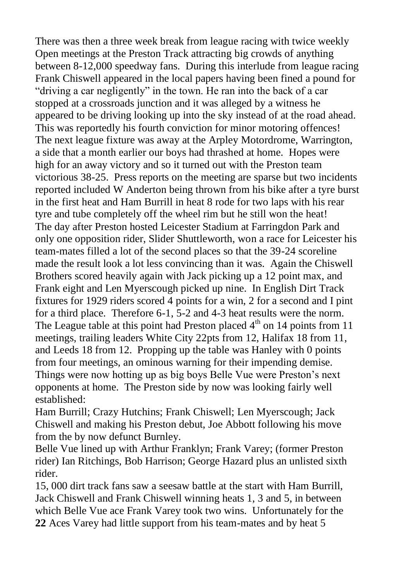There was then a three week break from league racing with twice weekly Open meetings at the Preston Track attracting big crowds of anything between 8-12,000 speedway fans. During this interlude from league racing Frank Chiswell appeared in the local papers having been fined a pound for "driving a car negligently" in the town. He ran into the back of a car stopped at a crossroads junction and it was alleged by a witness he appeared to be driving looking up into the sky instead of at the road ahead. This was reportedly his fourth conviction for minor motoring offences! The next league fixture was away at the Arpley Motordrome, Warrington, a side that a month earlier our boys had thrashed at home. Hopes were high for an away victory and so it turned out with the Preston team victorious 38-25. Press reports on the meeting are sparse but two incidents reported included W Anderton being thrown from his bike after a tyre burst in the first heat and Ham Burrill in heat 8 rode for two laps with his rear tyre and tube completely off the wheel rim but he still won the heat! The day after Preston hosted Leicester Stadium at Farringdon Park and only one opposition rider, Slider Shuttleworth, won a race for Leicester his team-mates filled a lot of the second places so that the 39-24 scoreline made the result look a lot less convincing than it was. Again the Chiswell Brothers scored heavily again with Jack picking up a 12 point max, and Frank eight and Len Myerscough picked up nine. In English Dirt Track fixtures for 1929 riders scored 4 points for a win, 2 for a second and I pint for a third place. Therefore 6-1, 5-2 and 4-3 heat results were the norm. The League table at this point had Preston placed  $4<sup>th</sup>$  on 14 points from 11 meetings, trailing leaders White City 22pts from 12, Halifax 18 from 11, and Leeds 18 from 12. Propping up the table was Hanley with 0 points from four meetings, an ominous warning for their impending demise. Things were now hotting up as big boys Belle Vue were Preston"s next opponents at home. The Preston side by now was looking fairly well established:

Ham Burrill; Crazy Hutchins; Frank Chiswell; Len Myerscough; Jack Chiswell and making his Preston debut, Joe Abbott following his move from the by now defunct Burnley.

Belle Vue lined up with Arthur Franklyn; Frank Varey; (former Preston rider) Ian Ritchings, Bob Harrison; George Hazard plus an unlisted sixth rider.

15, 000 dirt track fans saw a seesaw battle at the start with Ham Burrill, Jack Chiswell and Frank Chiswell winning heats 1, 3 and 5, in between which Belle Vue ace Frank Varey took two wins. Unfortunately for the **22** Aces Varey had little support from his team-mates and by heat 5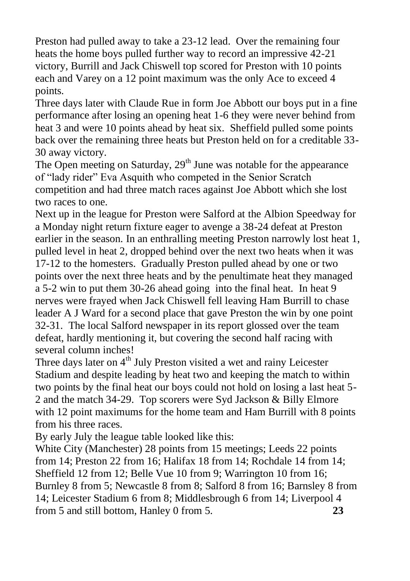Preston had pulled away to take a 23-12 lead. Over the remaining four heats the home boys pulled further way to record an impressive 42-21 victory, Burrill and Jack Chiswell top scored for Preston with 10 points each and Varey on a 12 point maximum was the only Ace to exceed 4 points.

Three days later with Claude Rue in form Joe Abbott our boys put in a fine performance after losing an opening heat 1-6 they were never behind from heat 3 and were 10 points ahead by heat six. Sheffield pulled some points back over the remaining three heats but Preston held on for a creditable 33- 30 away victory.

The Open meeting on Saturday,  $29<sup>th</sup>$  June was notable for the appearance of "lady rider" Eva Asquith who competed in the Senior Scratch competition and had three match races against Joe Abbott which she lost two races to one.

Next up in the league for Preston were Salford at the Albion Speedway for a Monday night return fixture eager to avenge a 38-24 defeat at Preston earlier in the season. In an enthralling meeting Preston narrowly lost heat 1, pulled level in heat 2, dropped behind over the next two heats when it was 17-12 to the homesters. Gradually Preston pulled ahead by one or two points over the next three heats and by the penultimate heat they managed a 5-2 win to put them 30-26 ahead going into the final heat. In heat 9 nerves were frayed when Jack Chiswell fell leaving Ham Burrill to chase leader A J Ward for a second place that gave Preston the win by one point 32-31. The local Salford newspaper in its report glossed over the team defeat, hardly mentioning it, but covering the second half racing with several column inches!

Three days later on 4<sup>th</sup> July Preston visited a wet and rainy Leicester Stadium and despite leading by heat two and keeping the match to within two points by the final heat our boys could not hold on losing a last heat 5- 2 and the match 34-29. Top scorers were Syd Jackson & Billy Elmore with 12 point maximums for the home team and Ham Burrill with 8 points from his three races.

By early July the league table looked like this:

White City (Manchester) 28 points from 15 meetings; Leeds 22 points from 14; Preston 22 from 16; Halifax 18 from 14; Rochdale 14 from 14; Sheffield 12 from 12; Belle Vue 10 from 9; Warrington 10 from 16; Burnley 8 from 5; Newcastle 8 from 8; Salford 8 from 16; Barnsley 8 from 14; Leicester Stadium 6 from 8; Middlesbrough 6 from 14; Liverpool 4 from 5 and still bottom, Hanley 0 from 5. **23**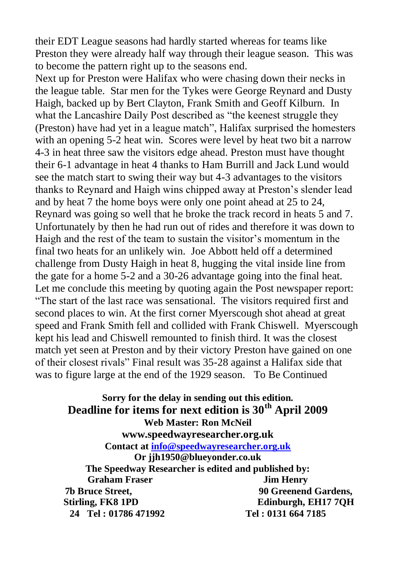their EDT League seasons had hardly started whereas for teams like Preston they were already half way through their league season. This was to become the pattern right up to the seasons end.

Next up for Preston were Halifax who were chasing down their necks in the league table. Star men for the Tykes were George Reynard and Dusty Haigh, backed up by Bert Clayton, Frank Smith and Geoff Kilburn. In what the Lancashire Daily Post described as "the keenest struggle they (Preston) have had yet in a league match", Halifax surprised the homesters with an opening 5-2 heat win. Scores were level by heat two bit a narrow 4-3 in heat three saw the visitors edge ahead. Preston must have thought their 6-1 advantage in heat 4 thanks to Ham Burrill and Jack Lund would see the match start to swing their way but 4-3 advantages to the visitors thanks to Reynard and Haigh wins chipped away at Preston"s slender lead and by heat 7 the home boys were only one point ahead at 25 to 24, Reynard was going so well that he broke the track record in heats 5 and 7. Unfortunately by then he had run out of rides and therefore it was down to Haigh and the rest of the team to sustain the visitor's momentum in the final two heats for an unlikely win. Joe Abbott held off a determined challenge from Dusty Haigh in heat 8, hugging the vital inside line from the gate for a home 5-2 and a 30-26 advantage going into the final heat. Let me conclude this meeting by quoting again the Post newspaper report: "The start of the last race was sensational. The visitors required first and second places to win. At the first corner Myerscough shot ahead at great speed and Frank Smith fell and collided with Frank Chiswell. Myerscough kept his lead and Chiswell remounted to finish third. It was the closest match yet seen at Preston and by their victory Preston have gained on one of their closest rivals" Final result was 35-28 against a Halifax side that was to figure large at the end of the 1929 season. To Be Continued

**Sorry for the delay in sending out this edition. Deadline for items for next edition is 30th April 2009 Web Master: Ron McNeil www.speedwayresearcher.org.uk Contact a[t info@speedwayresearcher.org.uk](mailto:info@speedwayresearcher.org.uk) Or jjh1950@blueyonder.co.uk The Speedway Researcher is edited and published by: Graham Fraser Jim Henry 7b Bruce Street, 90 Greenend Gardens, Stirling, FK8 1PD Edinburgh, EH17 7QH 24 Tel : 01786 471992 Tel : 0131 664 7185**